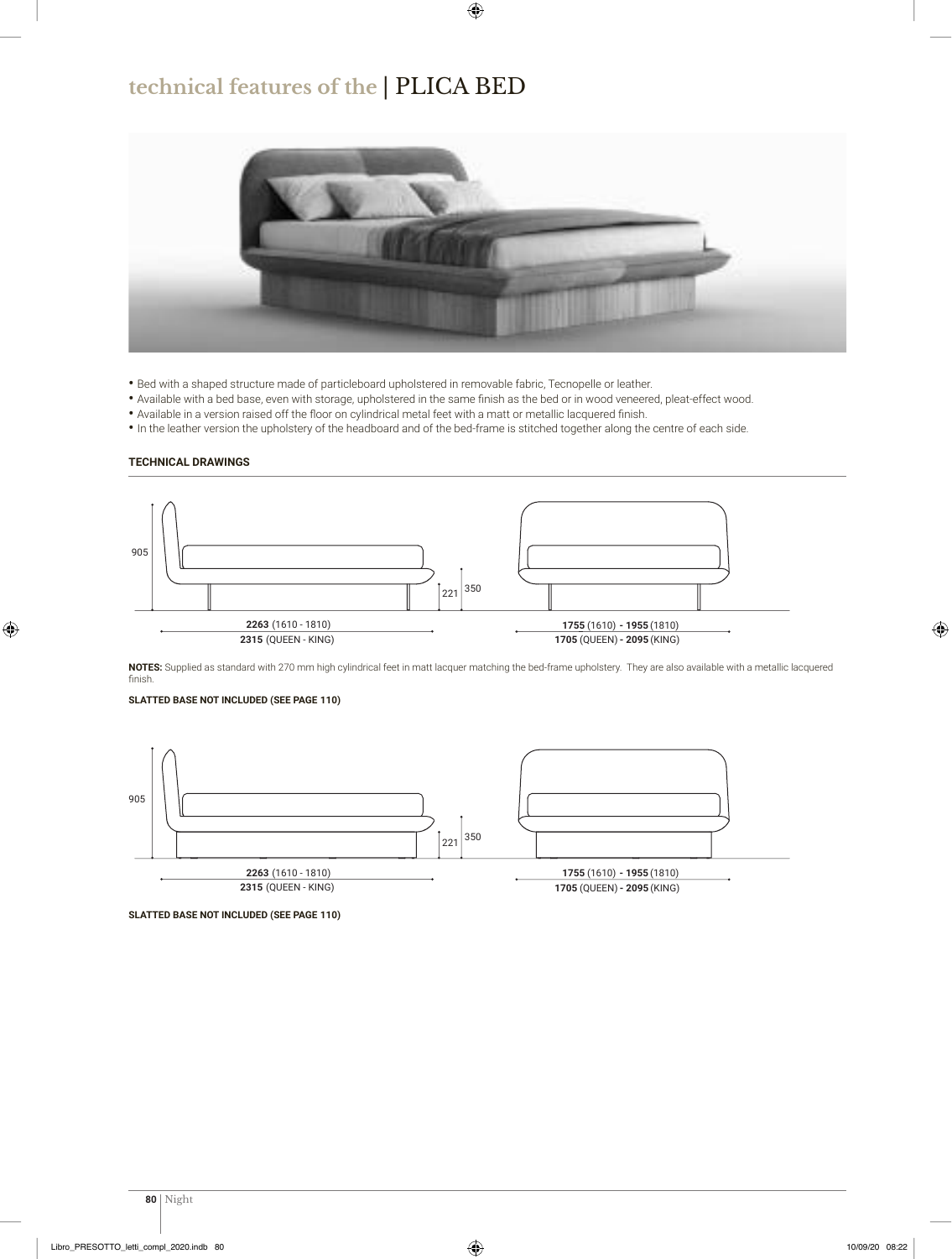### **technical features of the** | PLICA BED



- Bed with a shaped structure made of particleboard upholstered in removable fabric, Tecnopelle or leather.
- Available with a bed base, even with storage, upholstered in the same finish as the bed or in wood veneered, pleat-effect wood.
- Available in a version raised off the floor on cylindrical metal feet with a matt or metallic lacquered finish.
- In the leather version the upholstery of the headboard and of the bed-frame is stitched together along the centre of each side.

#### **TECHNICAL DRAWINGS**



**NOTES:** Supplied as standard with 20 mm high cylindrical feet in matt lacquer matching the bed-frame upholstery. They are also available with a metallic lacquered finish.

#### **110) SLATTED BASE NOT INCLUDED (SEE PAGE**



**<sup>110)</sup> SLATTED BASE NOT INCLUDED (SEE PAGE**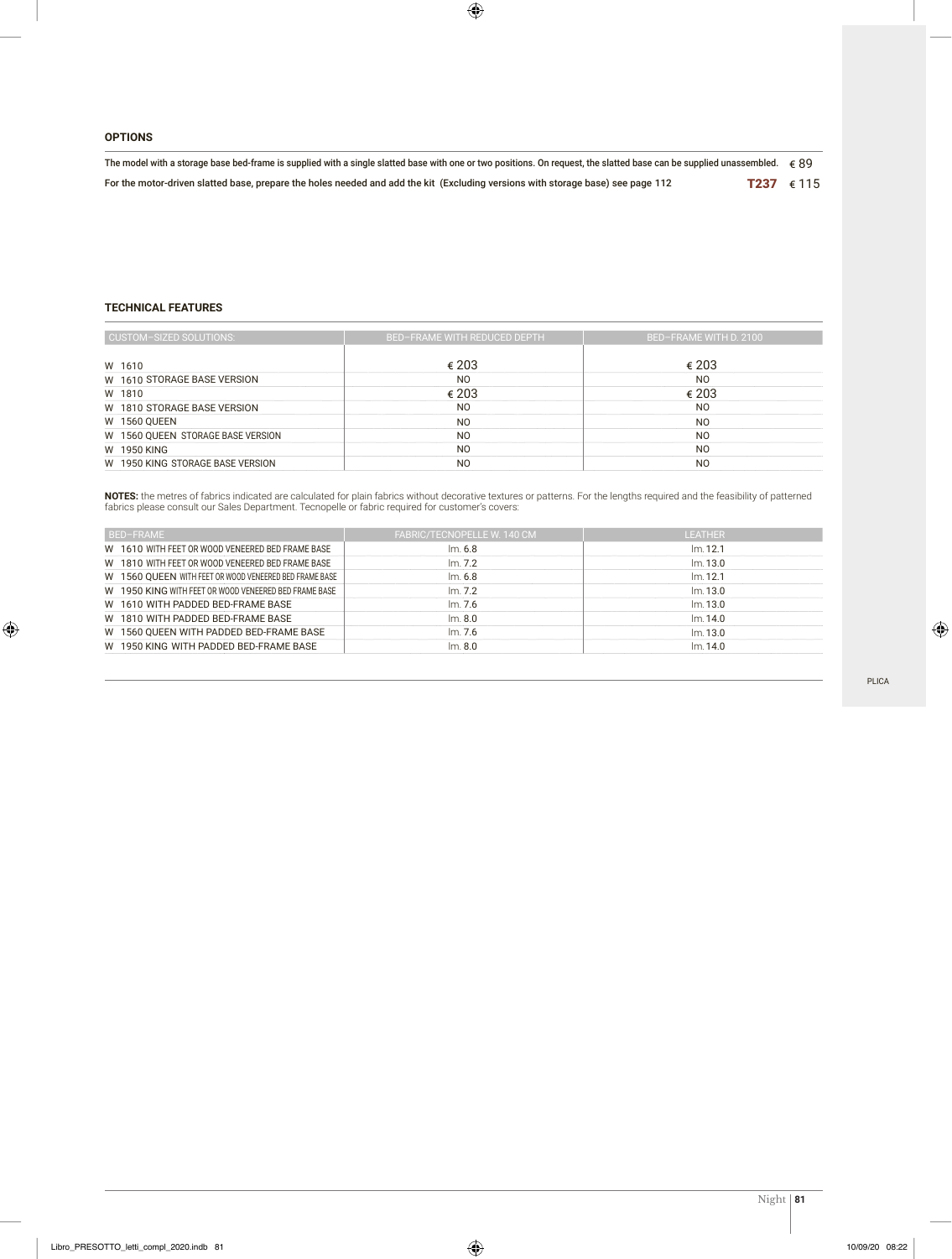#### **OPTIONS**

| The model with a storage base bed-frame is supplied with a single slatted base with one or two positions. On request, the slatted base can be supplied unassembled. $\epsilon$ 89 |            |  |  |  |  |  |
|-----------------------------------------------------------------------------------------------------------------------------------------------------------------------------------|------------|--|--|--|--|--|
| For the motor-driven slatted base, prepare the holes needed and add the kit (Excluding versions with storage base) see page 112                                                   | T237 € 115 |  |  |  |  |  |

#### **TECHNICAL FEATURES**

| CUSTOM-SIZED SOLUTIONS:           | <b>BED-FRAME WITH REDUCED DEPTH</b> | BED-FRAME WITH D. 2100 |
|-----------------------------------|-------------------------------------|------------------------|
| W 1610                            | € 203                               | € 203                  |
| W 1610 STORAGE BASE VERSION       | N <sub>O</sub>                      | N <sub>O</sub>         |
| W 1810                            | € 203                               | € 203                  |
| W 1810 STORAGE BASE VERSION       | N <sub>O</sub>                      | N <sub>O</sub>         |
| <b>W 1560 QUEEN</b>               | N <sub>O</sub>                      | N <sub>O</sub>         |
| W 1560 QUEEN STORAGE BASE VERSION | N <sub>O</sub>                      | N <sub>O</sub>         |
| W 1950 KING                       | N <sub>O</sub>                      | N <sub>O</sub>         |
| W 1950 KING STORAGE BASE VERSION  | N <sub>O</sub>                      | N <sub>O</sub>         |

**NOTES:** the metres of fabrics indicated are calculated for plain fabrics without decorative textures or patterns. For the lengths required and the feasibility of patterned fabrics please consult our Sales Department. Tecnopelle or fabric required for customer's covers:

| BED-FRAME                                              | FABRIC/TECNOPELLE W. 140 CM | <b>LEATHER</b> |
|--------------------------------------------------------|-----------------------------|----------------|
| W 1610 WITH FEET OR WOOD VENEERED BED FRAME BASE       | Im. 6.8                     | Im.12.1        |
| W 1810 WITH FEET OR WOOD VENEERED BED FRAME BASE       | Im. 7.2                     | Im.13.0        |
| W 1560 QUEEN WITH FEET OR WOOD VENEERED BED FRAME BASE | Im. 6.8                     | Im.12.1        |
| W 1950 KING WITH FEET OR WOOD VENEERED BED FRAME BASE  | Im.7.2                      | Im.13.0        |
| W 1610 WITH PADDED BED-FRAME BASE                      | Im. 7.6                     | Im.13.0        |
| W 1810 WITH PADDED BED-FRAME BASE                      | Im. 8.0                     | Im.14.0        |
| W 1560 OUEEN WITH PADDED BED-FRAME BASE                | $\mathsf{Im}$ . 7.6         | Im.13.0        |
| W 1950 KING WITH PADDED BED-FRAME BASE                 | Im. 8.0                     | Im.14.0        |

PLICA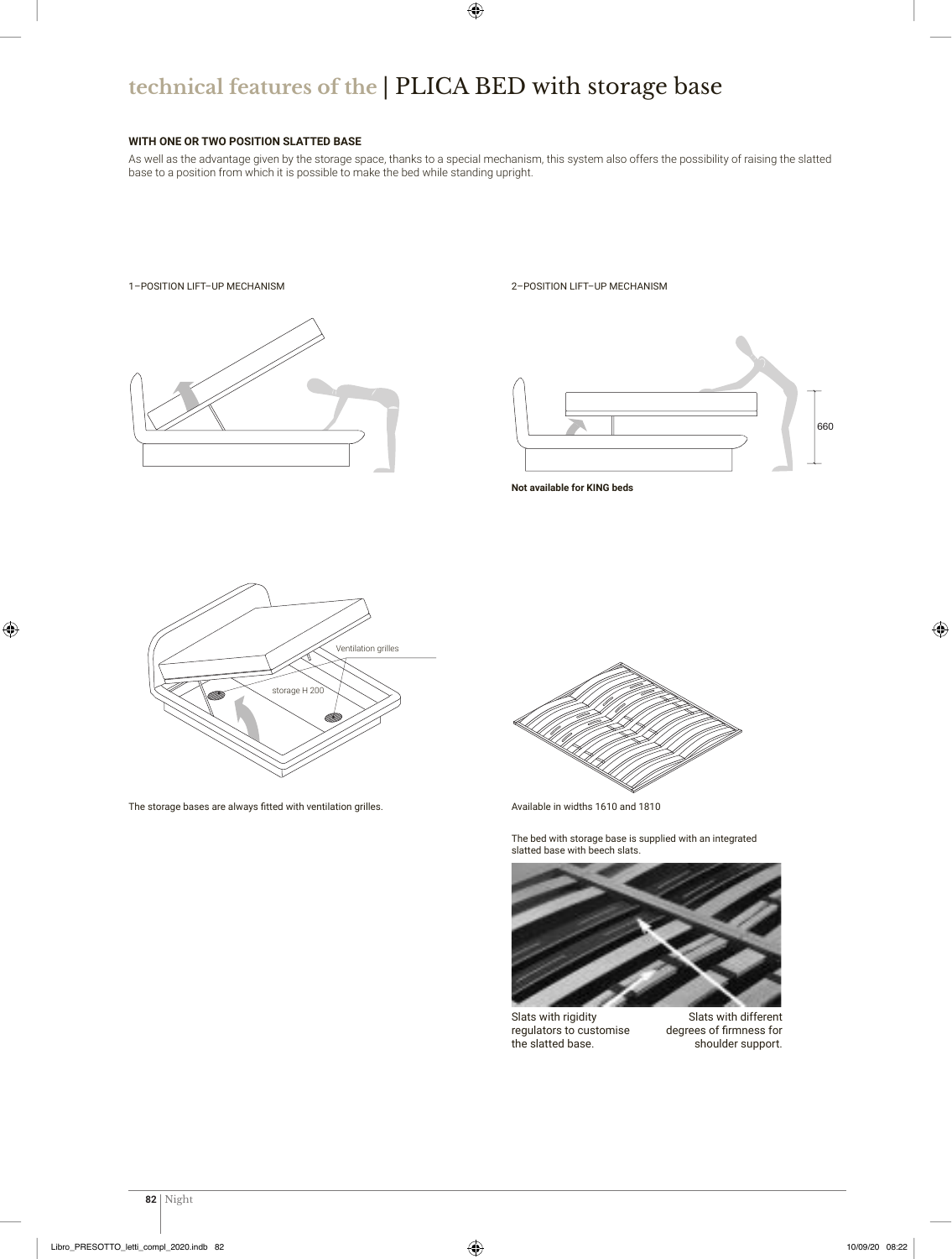# **technical features of the** | PLICA BED with storage base

#### **WITH ONE OR TWO POSITION SLATTED BASE**

As well as the advantage given by the storage space, thanks to a special mechanism, this system also offers the possibility of raising the slatted base to a position from which it is possible to make the bed while standing upright.

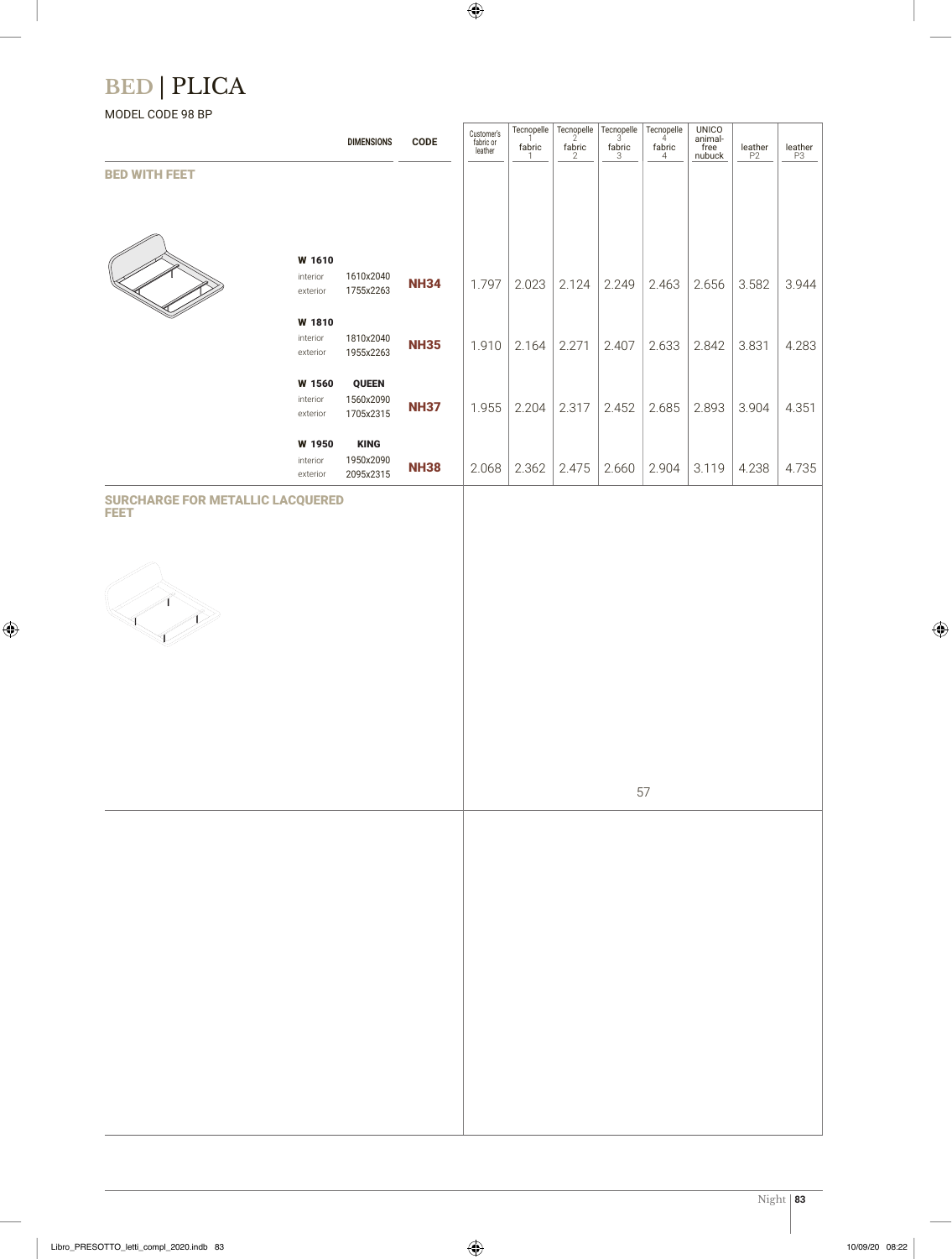# **BED** | PLICA

### MODEL CODE 98 BP

|                                                        |                                | <b>DIMENSIONS</b>                      | <b>CODE</b> | Customer's<br>fabric or<br>leather | Tecnopelle<br>fabric | $\overline{\mathsf{fabric}}$ | Tecnopelle $\left  \begin{array}{c} \text{Tecropelle} \\ 3 \end{array} \right $<br>fabric | Tecnopelle<br>fabric<br>$\overline{4}$ | <b>UNICO</b><br>animal-<br>free<br>nubuck | leather<br>P2 | $\underset{\mathsf{P3}}{\mathsf{leather}}$ |
|--------------------------------------------------------|--------------------------------|----------------------------------------|-------------|------------------------------------|----------------------|------------------------------|-------------------------------------------------------------------------------------------|----------------------------------------|-------------------------------------------|---------------|--------------------------------------------|
| <b>BED WITH FEET</b>                                   |                                |                                        |             |                                    |                      |                              |                                                                                           |                                        |                                           |               |                                            |
|                                                        | W 1610<br>interior<br>exterior | 1610x2040<br>1755x2263                 | <b>NH34</b> | 1.797                              | 2.023                | 2.124                        | 2.249                                                                                     | 2.463                                  | 2.656                                     | 3.582         | 3.944                                      |
|                                                        | W 1810<br>interior<br>exterior | 1810x2040<br>1955x2263                 | <b>NH35</b> | 1.910                              | 2.164                | 2.271                        | 2.407                                                                                     | 2.633                                  | 2.842                                     | 3.831         | 4.283                                      |
|                                                        | W 1560<br>interior<br>exterior | <b>QUEEN</b><br>1560x2090<br>1705x2315 | <b>NH37</b> | 1.955                              | 2.204                | 2.317                        | 2.452                                                                                     | 2.685                                  | 2.893                                     | 3.904         | 4.351                                      |
|                                                        | W 1950<br>interior<br>exterior | <b>KING</b><br>1950x2090<br>2095x2315  | <b>NH38</b> | 2.068                              | 2.362                | 2.475                        | 2.660                                                                                     | 2.904                                  | 3.119                                     | 4.238         | 4.735                                      |
| <b>SURCHARGE FOR METALLIC LACQUERED</b><br><b>FEET</b> |                                |                                        |             |                                    |                      |                              |                                                                                           |                                        |                                           |               |                                            |



57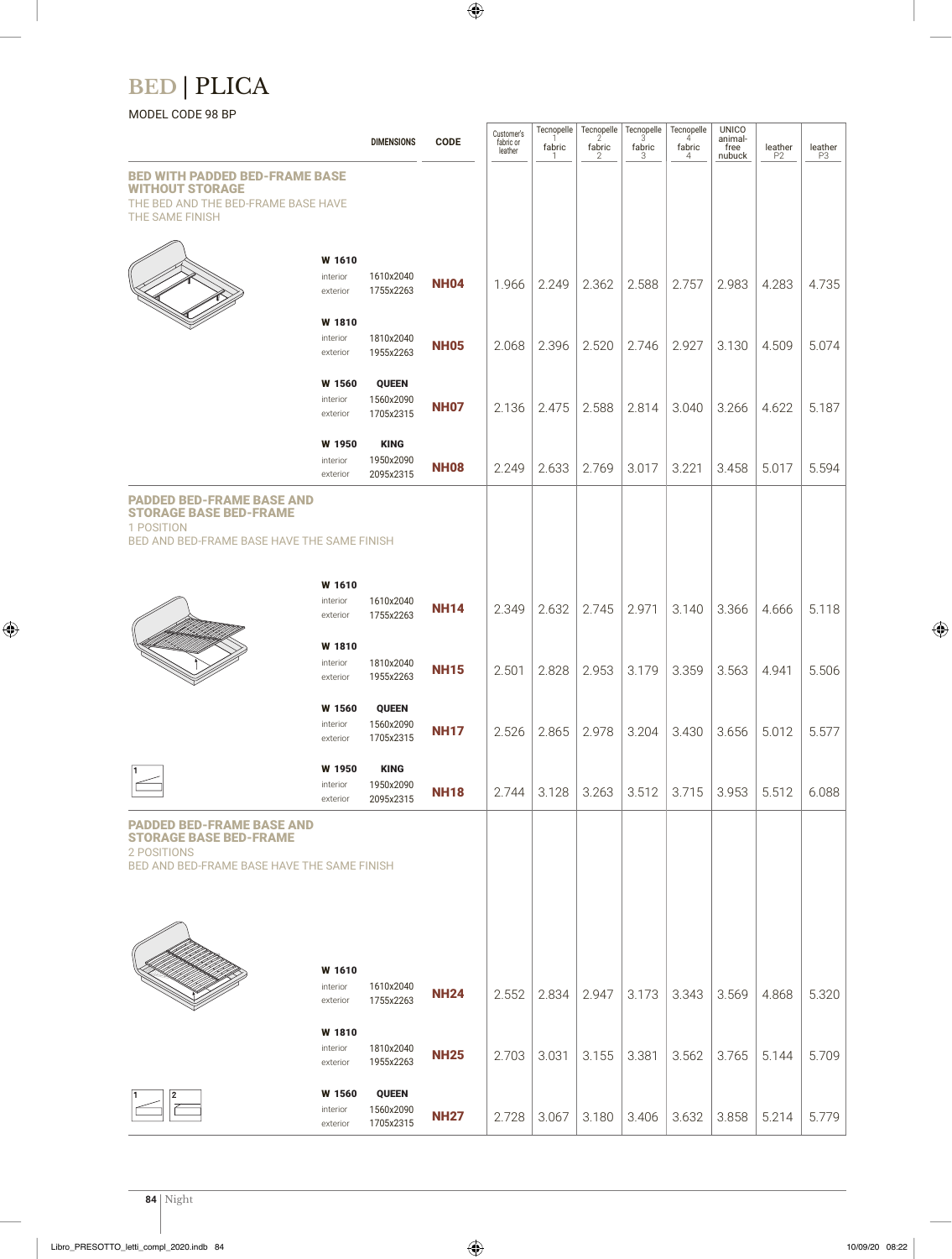## **BED** | PLICA

### MODEL CODE 98 BP

|                                                                                                                                 |                                | <b>DIMENSIONS</b>                      | <b>CODE</b> | Customer's<br>fabric or<br>leather | Tecnopelle<br>fabric<br>П | fabric<br>2 | Tecnopelle Tecnopelle<br>fabric<br>3 | Tecnopelle<br>4<br>fabric<br>4 | <b>UNICO</b><br>animal-<br>free<br>nubuck | leather<br>P <sub>2</sub> | $\underset{\mathsf{P3}}{\mathsf{leather}}$ |
|---------------------------------------------------------------------------------------------------------------------------------|--------------------------------|----------------------------------------|-------------|------------------------------------|---------------------------|-------------|--------------------------------------|--------------------------------|-------------------------------------------|---------------------------|--------------------------------------------|
| <b>BED WITH PADDED BED-FRAME BASE</b><br><b>WITHOUT STORAGE</b><br>THE BED AND THE BED-FRAME BASE HAVE<br>THE SAME FINISH       |                                |                                        |             |                                    |                           |             |                                      |                                |                                           |                           |                                            |
|                                                                                                                                 | W 1610<br>interior<br>exterior | 1610x2040<br>1755x2263                 | <b>NH04</b> | 1.966                              | 2.249                     | 2.362       | 2.588                                | 2.757                          | 2.983                                     | 4.283                     | 4.735                                      |
|                                                                                                                                 | W 1810<br>interior<br>exterior | 1810x2040<br>1955x2263                 | <b>NH05</b> | 2.068                              | 2.396                     | 2.520       | 2.746                                | 2.927                          | 3.130                                     | 4.509                     | 5.074                                      |
|                                                                                                                                 | W 1560<br>interior<br>exterior | <b>QUEEN</b><br>1560x2090<br>1705x2315 | <b>NH07</b> | 2.136                              | 2.475                     | 2.588       | 2.814                                | 3.040                          | 3.266                                     | 4.622                     | 5.187                                      |
|                                                                                                                                 | W 1950<br>interior<br>exterior | <b>KING</b><br>1950x2090<br>2095x2315  | <b>NH08</b> | 2.249                              | 2.633                     | 2.769       | 3.017                                | 3.221                          | 3.458                                     | 5.017                     | 5.594                                      |
| <b>PADDED BED-FRAME BASE AND</b><br><b>STORAGE BASE BED-FRAME</b><br>1 POSITION<br>BED AND BED-FRAME BASE HAVE THE SAME FINISH  |                                |                                        |             |                                    |                           |             |                                      |                                |                                           |                           |                                            |
|                                                                                                                                 | W 1610<br>interior<br>exterior | 1610x2040<br>1755x2263                 | <b>NH14</b> | 2.349                              | 2.632                     | 2.745       | 2.971                                | 3.140                          | 3.366                                     | 4.666                     | 5.118                                      |
|                                                                                                                                 | W 1810<br>interior<br>exterior | 1810x2040<br>1955x2263                 | <b>NH15</b> | 2.501                              | 2.828                     | 2.953       | 3.179                                | 3.359                          | 3.563                                     | 4.941                     | 5.506                                      |
|                                                                                                                                 | W 1560<br>interior<br>exterior | <b>QUEEN</b><br>1560x2090<br>1705x2315 | <b>NH17</b> | 2.526                              | 2.865                     | 2.978       | 3.204                                | 3.430                          | 3.656                                     | 5.012                     | 5.577                                      |
|                                                                                                                                 | W 1950<br>interior<br>exterior | <b>KING</b><br>1950x2090<br>2095x2315  | <b>NH18</b> | 2.744                              | 3.128                     | 3.263       | 3.512                                | 3.715                          | 3.953                                     | 5.512                     | 6.088                                      |
| <b>PADDED BED-FRAME BASE AND</b><br><b>STORAGE BASE BED-FRAME</b><br>2 POSITIONS<br>BED AND BED-FRAME BASE HAVE THE SAME FINISH |                                |                                        |             |                                    |                           |             |                                      |                                |                                           |                           |                                            |
|                                                                                                                                 | W 1610<br>interior<br>exterior | 1610x2040<br>1755x2263                 | <b>NH24</b> | 2.552                              | 2.834                     | 2.947       | 3.173                                | 3.343                          | 3.569                                     | 4.868                     | 5.320                                      |
|                                                                                                                                 | W 1810<br>interior<br>exterior | 1810x2040<br>1955x2263                 | <b>NH25</b> | 2.703                              | 3.031                     | 3.155       | 3.381                                | 3.562                          | 3.765                                     | 5.144                     | 5.709                                      |
|                                                                                                                                 | W 1560<br>interior<br>exterior | <b>QUEEN</b><br>1560x2090<br>1705x2315 | <b>NH27</b> | 2.728                              | 3.067                     | 3.180       | 3.406                                | 3.632                          | 3.858                                     | 5.214                     | 5.779                                      |